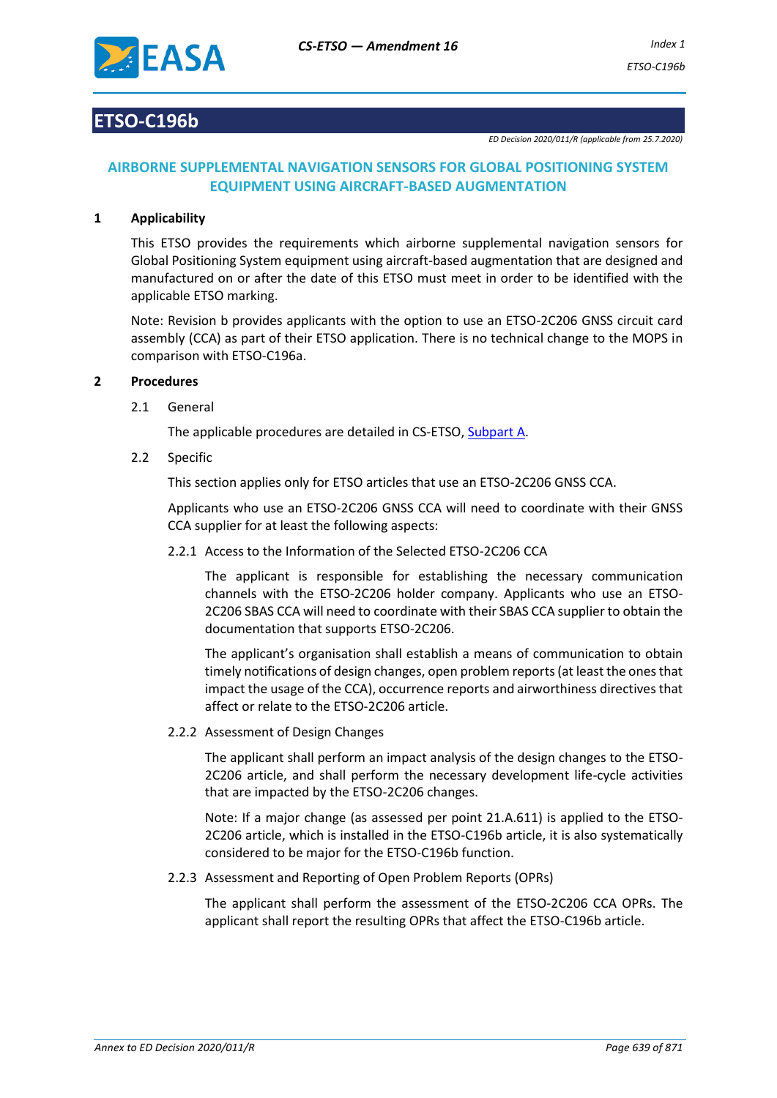

# **ETSO-C196b**

*ED Decision 2020/011/R (applicable from 25.7.2020)*

# **AIRBORNE SUPPLEMENTAL NAVIGATION SENSORS FOR GLOBAL POSITIONING SYSTEM EQUIPMENT USING AIRCRAFT-BASED AUGMENTATION**

#### **1 Applicability**

This ETSO provides the requirements which airborne supplemental navigation sensors for Global Positioning System equipment using aircraft-based augmentation that are designed and manufactured on or after the date of this ETSO must meet in order to be identified with the applicable ETSO marking.

Note: Revision b provides applicants with the option to use an ETSO-2C206 GNSS circuit card assembly (CCA) as part of their ETSO application. There is no technical change to the MOPS in comparison with ETSO-C196a.

#### **2 Procedures**

2.1 General

The applicable procedures are detailed in CS-ETSO, Subpart A.

2.2 Specific

This section applies only for ETSO articles that use an ETSO-2C206 GNSS CCA.

Applicants who use an ETSO-2C206 GNSS CCA will need to coordinate with their GNSS CCA supplier for at least the following aspects:

2.2.1 Access to the Information of the Selected ETSO-2C206 CCA

The applicant is responsible for establishing the necessary communication channels with the ETSO-2C206 holder company. Applicants who use an ETSO-2C206 SBAS CCA will need to coordinate with their SBAS CCA supplier to obtain the documentation that supports ETSO-2C206.

The applicant's organisation shall establish a means of communication to obtain timely notifications of design changes, open problem reports (at least the ones that impact the usage of the CCA), occurrence reports and airworthiness directives that affect or relate to the ETSO-2C206 article.

2.2.2 Assessment of Design Changes

The applicant shall perform an impact analysis of the design changes to the ETSO-2C206 article, and shall perform the necessary development life-cycle activities that are impacted by the ETSO-2C206 changes.

Note: If a major change (as assessed per point 21.A.611) is applied to the ETSO-2C206 article, which is installed in the ETSO-C196b article, it is also systematically considered to be major for the ETSO-C196b function.

2.2.3 Assessment and Reporting of Open Problem Reports (OPRs)

The applicant shall perform the assessment of the ETSO-2C206 CCA OPRs. The applicant shall report the resulting OPRs that affect the ETSO-C196b article.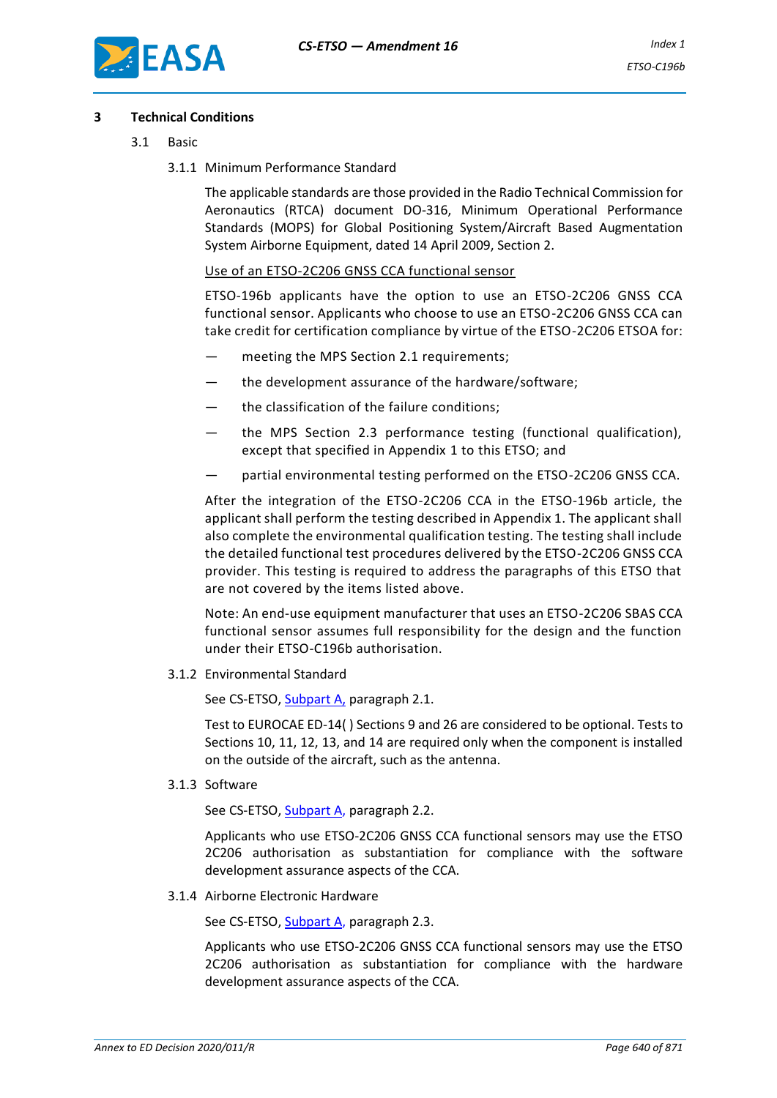

#### **3 Technical Conditions**

- 3.1 Basic
	- 3.1.1 Minimum Performance Standard

The applicable standards are those provided in the Radio Technical Commission for Aeronautics (RTCA) document DO-316, Minimum Operational Performance Standards (MOPS) for Global Positioning System/Aircraft Based Augmentation System Airborne Equipment, dated 14 April 2009, Section 2.

Use of an ETSO-2C206 GNSS CCA functional sensor

ETSO-196b applicants have the option to use an ETSO-2C206 GNSS CCA functional sensor. Applicants who choose to use an ETSO-2C206 GNSS CCA can take credit for certification compliance by virtue of the ETSO-2C206 ETSOA for:

- meeting the MPS Section 2.1 requirements;
- the development assurance of the hardware/software:
- the classification of the failure conditions:
- the MPS Section 2.3 performance testing (functional qualification), except that specified in Appendix 1 to this ETSO; and
- partial environmental testing performed on the ETSO-2C206 GNSS CCA.

After the integration of the ETSO-2C206 CCA in the ETSO-196b article, the applicant shall perform the testing described in Appendix 1. The applicant shall also complete the environmental qualification testing. The testing shall include the detailed functional test procedures delivered by the ETSO-2C206 GNSS CCA provider. This testing is required to address the paragraphs of this ETSO that are not covered by the items listed above.

Note: An end-use equipment manufacturer that uses an ETSO-2C206 SBAS CCA functional sensor assumes full responsibility for the design and the function under their ETSO-C196b authorisation.

3.1.2 Environmental Standard

See CS-ETSO, Subpart A, paragraph 2.1.

Test to EUROCAE ED-14( ) Sections 9 and 26 are considered to be optional. Tests to Sections 10, 11, 12, 13, and 14 are required only when the component is installed on the outside of the aircraft, such as the antenna.

3.1.3 Software

See CS-ETSO, Subpart A, paragraph 2.2.

Applicants who use ETSO-2C206 GNSS CCA functional sensors may use the ETSO 2C206 authorisation as substantiation for compliance with the software development assurance aspects of the CCA.

3.1.4 Airborne Electronic Hardware

See CS-ETSO, Subpart A, paragraph 2.3.

Applicants who use ETSO-2C206 GNSS CCA functional sensors may use the ETSO 2C206 authorisation as substantiation for compliance with the hardware development assurance aspects of the CCA.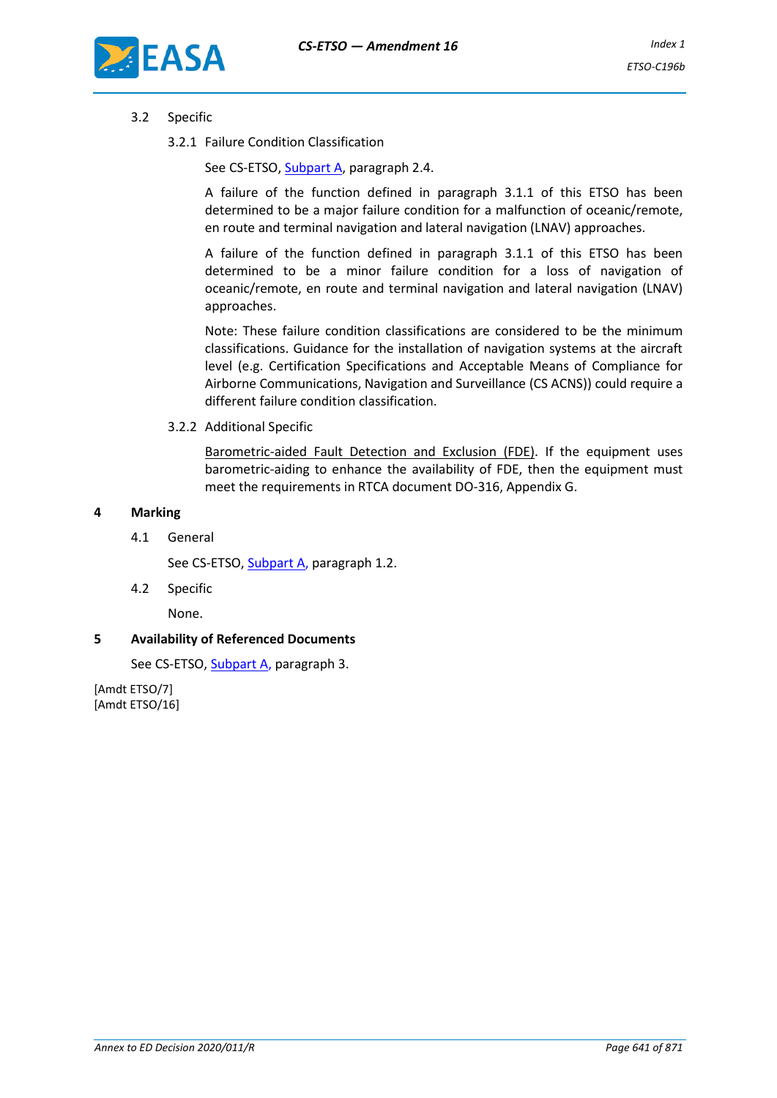

### 3.2 Specific

3.2.1 Failure Condition Classification

See CS-ETSO, Subpart A, paragraph 2.4.

A failure of the function defined in paragraph 3.1.1 of this ETSO has been determined to be a major failure condition for a malfunction of oceanic/remote, en route and terminal navigation and lateral navigation (LNAV) approaches.

A failure of the function defined in paragraph 3.1.1 of this ETSO has been determined to be a minor failure condition for a loss of navigation of oceanic/remote, en route and terminal navigation and lateral navigation (LNAV) approaches.

Note: These failure condition classifications are considered to be the minimum classifications. Guidance for the installation of navigation systems at the aircraft level (e.g. Certification Specifications and Acceptable Means of Compliance for Airborne Communications, Navigation and Surveillance (CS ACNS)) could require a different failure condition classification.

#### 3.2.2 Additional Specific

Barometric-aided Fault Detection and Exclusion (FDE). If the equipment uses barometric-aiding to enhance the availability of FDE, then the equipment must meet the requirements in RTCA document DO-316, Appendix G.

#### **4 Marking**

4.1 General

See CS-ETSO, Subpart A, paragraph 1.2.

4.2 Specific

None.

#### **5 Availability of Referenced Documents**

See CS-ETSO, Subpart A, paragraph 3.

[Amdt ETSO/7] [Amdt ETSO/16]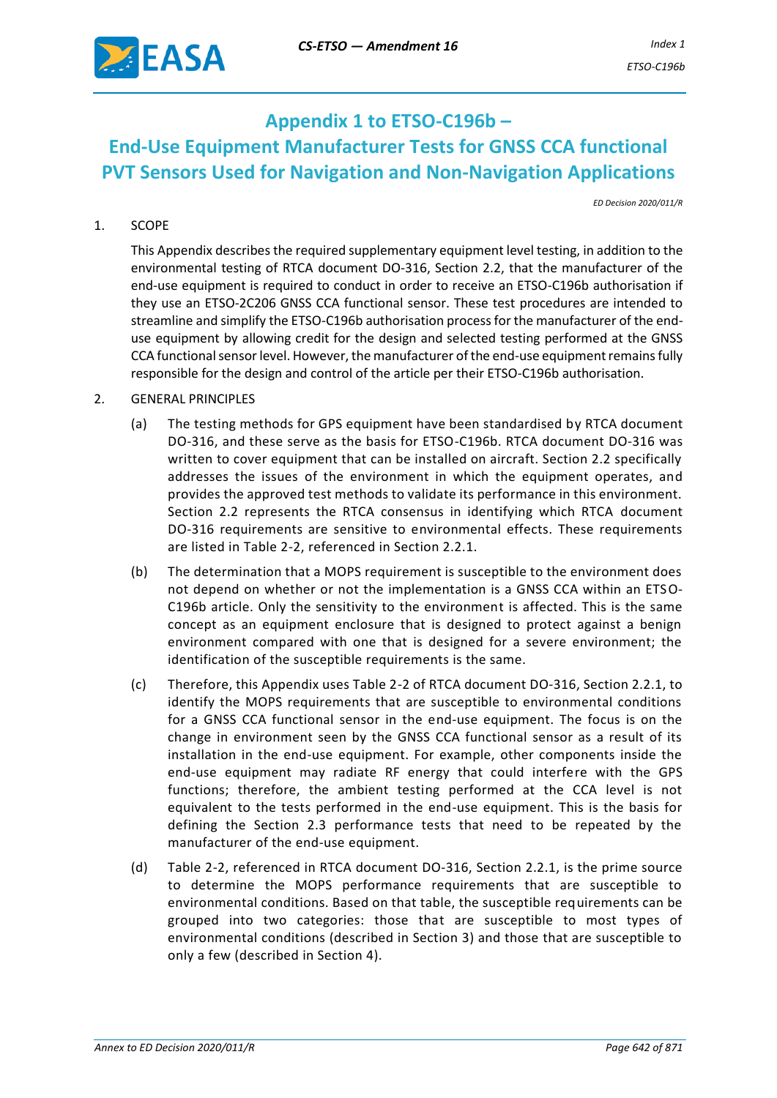

# **Appendix 1 to ETSO-C196b – End-Use Equipment Manufacturer Tests for GNSS CCA functional PVT Sensors Used for Navigation and Non-Navigation Applications**

*ED Decision 2020/011/R*

## 1. SCOPE

This Appendix describes the required supplementary equipment level testing, in addition to the environmental testing of RTCA document DO-316, Section 2.2, that the manufacturer of the end-use equipment is required to conduct in order to receive an ETSO-C196b authorisation if they use an ETSO-2C206 GNSS CCA functional sensor. These test procedures are intended to streamline and simplify the ETSO-C196b authorisation process for the manufacturer of the enduse equipment by allowing credit for the design and selected testing performed at the GNSS CCA functional sensor level. However, the manufacturer of the end-use equipment remains fully responsible for the design and control of the article per their ETSO-C196b authorisation.

#### 2. GENERAL PRINCIPLES

- (a) The testing methods for GPS equipment have been standardised by RTCA document DO-316, and these serve as the basis for ETSO-C196b. RTCA document DO-316 was written to cover equipment that can be installed on aircraft. Section 2.2 specifically addresses the issues of the environment in which the equipment operates, and provides the approved test methods to validate its performance in this environment. Section 2.2 represents the RTCA consensus in identifying which RTCA document DO-316 requirements are sensitive to environmental effects. These requirements are listed in Table 2-2, referenced in Section 2.2.1.
- (b) The determination that a MOPS requirement is susceptible to the environment does not depend on whether or not the implementation is a GNSS CCA within an ETSO-C196b article. Only the sensitivity to the environment is affected. This is the same concept as an equipment enclosure that is designed to protect against a benign environment compared with one that is designed for a severe environment; the identification of the susceptible requirements is the same.
- (c) Therefore, this Appendix uses Table 2-2 of RTCA document DO-316, Section 2.2.1, to identify the MOPS requirements that are susceptible to environmental conditions for a GNSS CCA functional sensor in the end-use equipment. The focus is on the change in environment seen by the GNSS CCA functional sensor as a result of its installation in the end-use equipment. For example, other components inside the end-use equipment may radiate RF energy that could interfere with the GPS functions; therefore, the ambient testing performed at the CCA level is not equivalent to the tests performed in the end-use equipment. This is the basis for defining the Section 2.3 performance tests that need to be repeated by the manufacturer of the end-use equipment.
- (d) Table 2-2, referenced in RTCA document DO-316, Section 2.2.1, is the prime source to determine the MOPS performance requirements that are susceptible to environmental conditions. Based on that table, the susceptible requirements can be grouped into two categories: those that are susceptible to most types of environmental conditions (described in Section 3) and those that are susceptible to only a few (described in Section 4).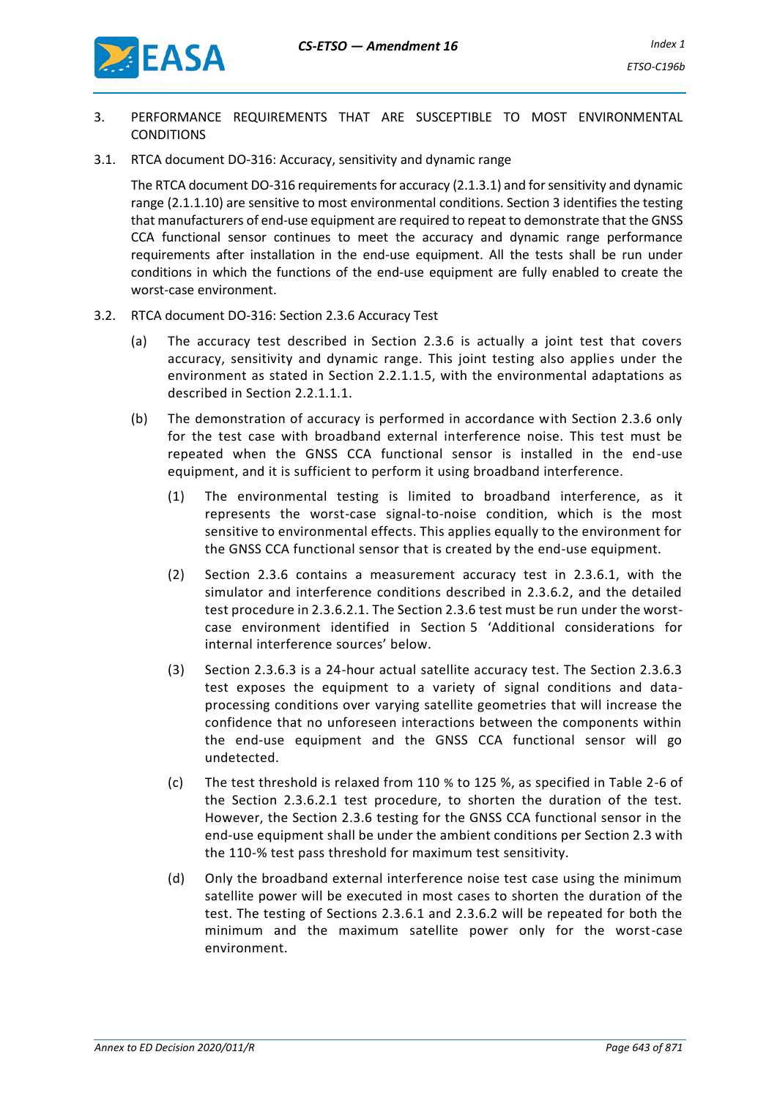

- 3. PERFORMANCE REQUIREMENTS THAT ARE SUSCEPTIBLE TO MOST ENVIRONMENTAL **CONDITIONS**
- 3.1. RTCA document DO-316: Accuracy, sensitivity and dynamic range

The RTCA document DO-316 requirements for accuracy (2.1.3.1) and for sensitivity and dynamic range (2.1.1.10) are sensitive to most environmental conditions. Section 3 identifies the testing that manufacturers of end-use equipment are required to repeat to demonstrate that the GNSS CCA functional sensor continues to meet the accuracy and dynamic range performance requirements after installation in the end-use equipment. All the tests shall be run under conditions in which the functions of the end-use equipment are fully enabled to create the worst-case environment.

- 3.2. RTCA document DO-316: Section 2.3.6 Accuracy Test
	- (a) The accuracy test described in Section 2.3.6 is actually a joint test that covers accuracy, sensitivity and dynamic range. This joint testing also applies under the environment as stated in Section 2.2.1.1.5, with the environmental adaptations as described in Section 2.2.1.1.1.
	- (b) The demonstration of accuracy is performed in accordance with Section 2.3.6 only for the test case with broadband external interference noise. This test must be repeated when the GNSS CCA functional sensor is installed in the end-use equipment, and it is sufficient to perform it using broadband interference.
		- (1) The environmental testing is limited to broadband interference, as it represents the worst-case signal-to-noise condition, which is the most sensitive to environmental effects. This applies equally to the environment for the GNSS CCA functional sensor that is created by the end-use equipment.
		- (2) Section 2.3.6 contains a measurement accuracy test in 2.3.6.1, with the simulator and interference conditions described in 2.3.6.2, and the detailed test procedure in 2.3.6.2.1. The Section 2.3.6 test must be run under the worstcase environment identified in Section 5 'Additional considerations for internal interference sources' below.
		- (3) Section 2.3.6.3 is a 24-hour actual satellite accuracy test. The Section 2.3.6.3 test exposes the equipment to a variety of signal conditions and dataprocessing conditions over varying satellite geometries that will increase the confidence that no unforeseen interactions between the components within the end-use equipment and the GNSS CCA functional sensor will go undetected.
		- (c) The test threshold is relaxed from 110 % to 125 %, as specified in Table 2-6 of the Section 2.3.6.2.1 test procedure, to shorten the duration of the test. However, the Section 2.3.6 testing for the GNSS CCA functional sensor in the end-use equipment shall be under the ambient conditions per Section 2.3 with the 110-% test pass threshold for maximum test sensitivity.
		- (d) Only the broadband external interference noise test case using the minimum satellite power will be executed in most cases to shorten the duration of the test. The testing of Sections 2.3.6.1 and 2.3.6.2 will be repeated for both the minimum and the maximum satellite power only for the worst-case environment.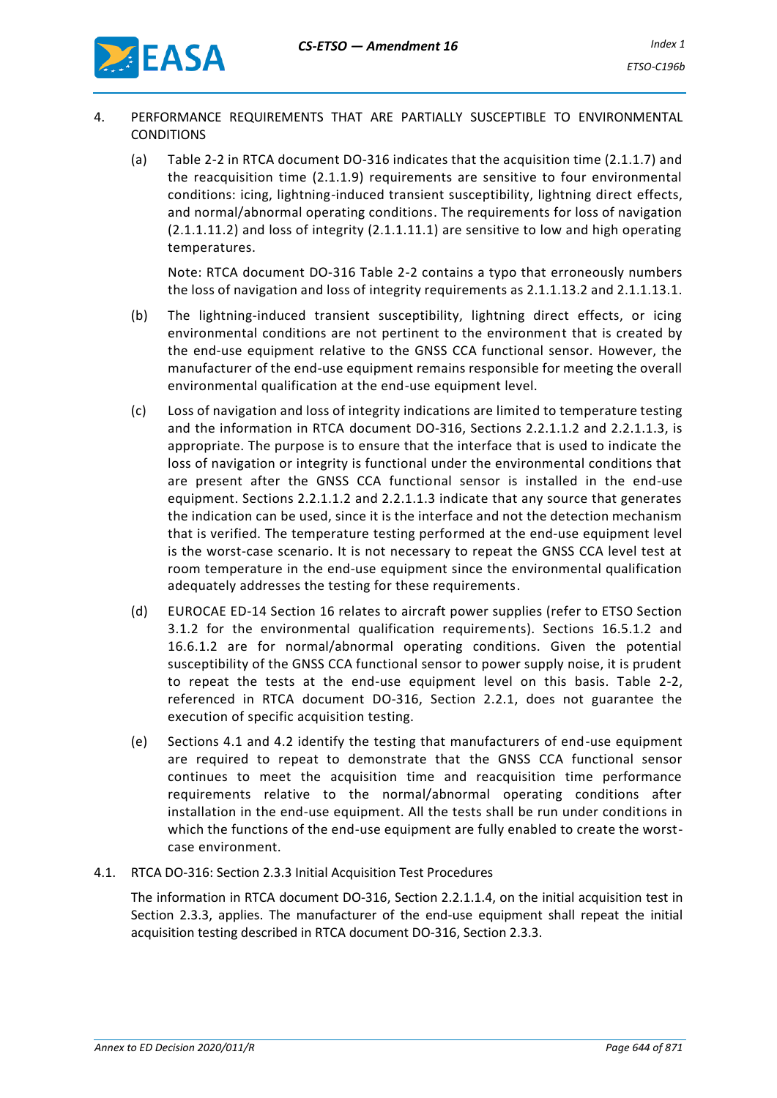

- 4. PERFORMANCE REQUIREMENTS THAT ARE PARTIALLY SUSCEPTIBLE TO ENVIRONMENTAL **CONDITIONS** 
	- (a) Table 2-2 in RTCA document DO-316 indicates that the acquisition time (2.1.1.7) and the reacquisition time (2.1.1.9) requirements are sensitive to four environmental conditions: icing, lightning-induced transient susceptibility, lightning direct effects, and normal/abnormal operating conditions. The requirements for loss of navigation (2.1.1.11.2) and loss of integrity (2.1.1.11.1) are sensitive to low and high operating temperatures.

Note: RTCA document DO-316 Table 2-2 contains a typo that erroneously numbers the loss of navigation and loss of integrity requirements as 2.1.1.13.2 and 2.1.1.13.1.

- (b) The lightning-induced transient susceptibility, lightning direct effects, or icing environmental conditions are not pertinent to the environment that is created by the end-use equipment relative to the GNSS CCA functional sensor. However, the manufacturer of the end-use equipment remains responsible for meeting the overall environmental qualification at the end-use equipment level.
- (c) Loss of navigation and loss of integrity indications are limited to temperature testing and the information in RTCA document DO-316, Sections 2.2.1.1.2 and 2.2.1.1.3, is appropriate. The purpose is to ensure that the interface that is used to indicate the loss of navigation or integrity is functional under the environmental conditions that are present after the GNSS CCA functional sensor is installed in the end-use equipment. Sections 2.2.1.1.2 and 2.2.1.1.3 indicate that any source that generates the indication can be used, since it is the interface and not the detection mechanism that is verified. The temperature testing performed at the end-use equipment level is the worst-case scenario. It is not necessary to repeat the GNSS CCA level test at room temperature in the end-use equipment since the environmental qualification adequately addresses the testing for these requirements.
- (d) EUROCAE ED-14 Section 16 relates to aircraft power supplies (refer to ETSO Section 3.1.2 for the environmental qualification requirements). Sections 16.5.1.2 and 16.6.1.2 are for normal/abnormal operating conditions. Given the potential susceptibility of the GNSS CCA functional sensor to power supply noise, it is prudent to repeat the tests at the end-use equipment level on this basis. Table 2-2, referenced in RTCA document DO-316, Section 2.2.1, does not guarantee the execution of specific acquisition testing.
- (e) Sections 4.1 and 4.2 identify the testing that manufacturers of end-use equipment are required to repeat to demonstrate that the GNSS CCA functional sensor continues to meet the acquisition time and reacquisition time performance requirements relative to the normal/abnormal operating conditions after installation in the end-use equipment. All the tests shall be run under conditions in which the functions of the end-use equipment are fully enabled to create the worstcase environment.
- 4.1. RTCA DO-316: Section 2.3.3 Initial Acquisition Test Procedures

The information in RTCA document DO-316, Section 2.2.1.1.4, on the initial acquisition test in Section 2.3.3, applies. The manufacturer of the end-use equipment shall repeat the initial acquisition testing described in RTCA document DO-316, Section 2.3.3.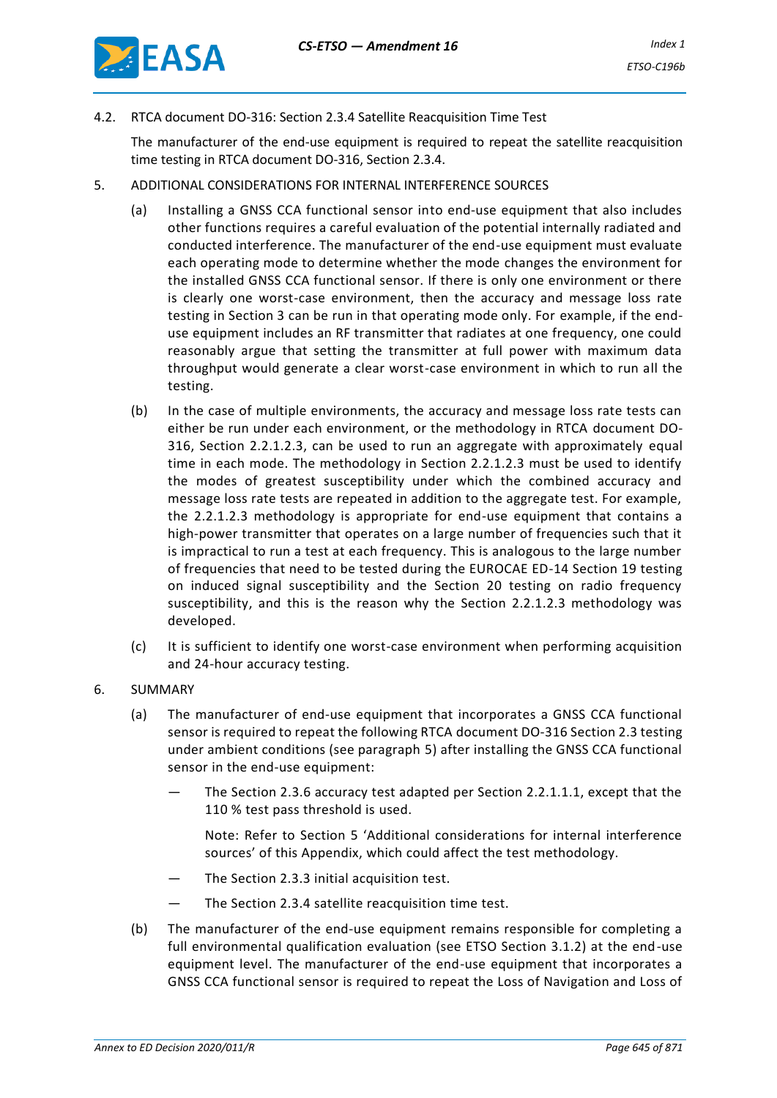

4.2. RTCA document DO-316: Section 2.3.4 Satellite Reacquisition Time Test

The manufacturer of the end-use equipment is required to repeat the satellite reacquisition time testing in RTCA document DO-316, Section 2.3.4.

- 5. ADDITIONAL CONSIDERATIONS FOR INTERNAL INTERFERENCE SOURCES
	- (a) Installing a GNSS CCA functional sensor into end-use equipment that also includes other functions requires a careful evaluation of the potential internally radiated and conducted interference. The manufacturer of the end-use equipment must evaluate each operating mode to determine whether the mode changes the environment for the installed GNSS CCA functional sensor. If there is only one environment or there is clearly one worst-case environment, then the accuracy and message loss rate testing in Section 3 can be run in that operating mode only. For example, if the enduse equipment includes an RF transmitter that radiates at one frequency, one could reasonably argue that setting the transmitter at full power with maximum data throughput would generate a clear worst-case environment in which to run all the testing.
	- (b) In the case of multiple environments, the accuracy and message loss rate tests can either be run under each environment, or the methodology in RTCA document DO-316, Section 2.2.1.2.3, can be used to run an aggregate with approximately equal time in each mode. The methodology in Section 2.2.1.2.3 must be used to identify the modes of greatest susceptibility under which the combined accuracy and message loss rate tests are repeated in addition to the aggregate test. For example, the 2.2.1.2.3 methodology is appropriate for end-use equipment that contains a high-power transmitter that operates on a large number of frequencies such that it is impractical to run a test at each frequency. This is analogous to the large number of frequencies that need to be tested during the EUROCAE ED-14 Section 19 testing on induced signal susceptibility and the Section 20 testing on radio frequency susceptibility, and this is the reason why the Section 2.2.1.2.3 methodology was developed.
	- (c) It is sufficient to identify one worst-case environment when performing acquisition and 24-hour accuracy testing.
- 6. SUMMARY
	- (a) The manufacturer of end-use equipment that incorporates a GNSS CCA functional sensor is required to repeat the following RTCA document DO-316 Section 2.3 testing under ambient conditions (see paragraph 5) after installing the GNSS CCA functional sensor in the end-use equipment:
		- The Section 2.3.6 accuracy test adapted per Section 2.2.1.1.1, except that the 110 % test pass threshold is used.

Note: Refer to Section 5 'Additional considerations for internal interference sources' of this Appendix, which could affect the test methodology.

- The Section 2.3.3 initial acquisition test.
- The Section 2.3.4 satellite reacquisition time test.
- (b) The manufacturer of the end-use equipment remains responsible for completing a full environmental qualification evaluation (see ETSO Section 3.1.2) at the end-use equipment level. The manufacturer of the end-use equipment that incorporates a GNSS CCA functional sensor is required to repeat the Loss of Navigation and Loss of